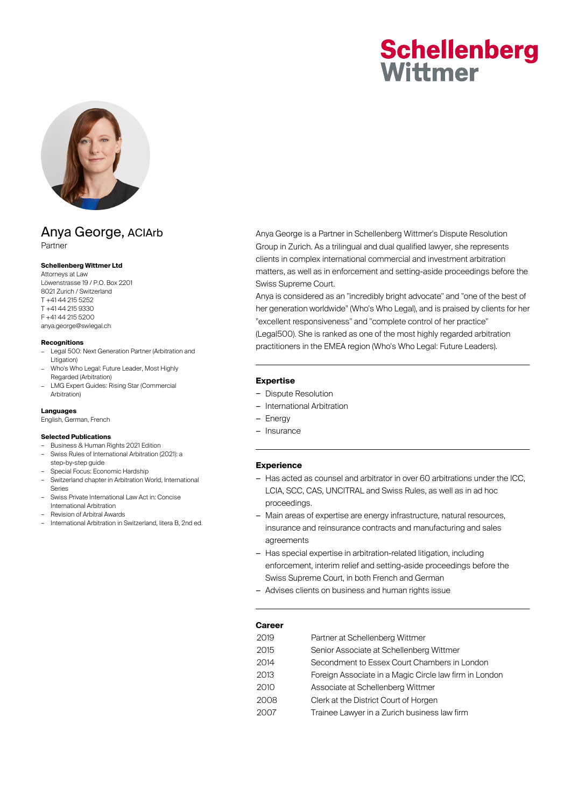# **Schellenberg** Wittmer



# Anya George, ACIArb Partner

## **Schellenberg Wittmer Ltd**

Attorneys at Law Löwenstrasse 19 / P.O. Box 2201 8021 Zurich / Switzerland T +41 44 215 5252 T +41 44 215 9330 F +41 44 215 5200 anya.george@swlegal.ch

#### **Recognitions**

- Legal 500: Next Generation Partner (Arbitration and Litigation)
- Who's Who Legal: Future Leader, Most Highly Regarded (Arbitration)
- LMG Expert Guides: Rising Star (Commercial Arbitration)

## **Languages**

English, German, French

## **Selected Publications**

- Business & Human Rights 2021 Edition – Swiss Rules of International Arbitration (2021): a step-by-step guide
- Special Focus: Economic Hardship
- Switzerland chapter in Arbitration World, International Series
- Swiss Private International Law Act in: Concise
- International Arbitration – Revision of Arbitral Awards
- International Arbitration in Switzerland, litera B, 2nd ed.

Anya George is a Partner in Schellenberg Wittmer's Dispute Resolution Group in Zurich. As a trilingual and dual qualified lawyer, she represents clients in complex international commercial and investment arbitration matters, as well as in enforcement and setting-aside proceedings before the Swiss Supreme Court.

Anya is considered as an "incredibly bright advocate" and "one of the best of her generation worldwide" (Who's Who Legal), and is praised by clients for her "excellent responsiveness" and "complete control of her practice" (Legal500). She is ranked as one of the most highly regarded arbitration practitioners in the EMEA region (Who's Who Legal: Future Leaders).

## **Expertise**

- Dispute Resolution
- International Arbitration
- Energy
- Insurance

## **Experience**

- Has acted as counsel and arbitrator in over 60 arbitrations under the ICC, LCIA, SCC, CAS, UNCITRAL and Swiss Rules, as well as in ad hoc proceedings.
- Main areas of expertise are energy infrastructure, natural resources, insurance and reinsurance contracts and manufacturing and sales agreements
- Has special expertise in arbitration-related litigation, including enforcement, interim relief and setting-aside proceedings before the Swiss Supreme Court, in both French and German
- Advises clients on business and human rights issue

## **Career**

| 2015<br>Senior Associate at Schellenberg Wittmer<br>2014<br>Secondment to Essex Court Chambers in London<br>2013<br>2010<br>Associate at Schellenberg Wittmer<br>2008<br>Clerk at the District Court of Horgen<br>2007<br>Trainee Lawyer in a Zurich business law firm | 2019 | Partner at Schellenberg Wittmer                        |
|------------------------------------------------------------------------------------------------------------------------------------------------------------------------------------------------------------------------------------------------------------------------|------|--------------------------------------------------------|
|                                                                                                                                                                                                                                                                        |      |                                                        |
|                                                                                                                                                                                                                                                                        |      |                                                        |
|                                                                                                                                                                                                                                                                        |      | Foreign Associate in a Magic Circle law firm in London |
|                                                                                                                                                                                                                                                                        |      |                                                        |
|                                                                                                                                                                                                                                                                        |      |                                                        |
|                                                                                                                                                                                                                                                                        |      |                                                        |